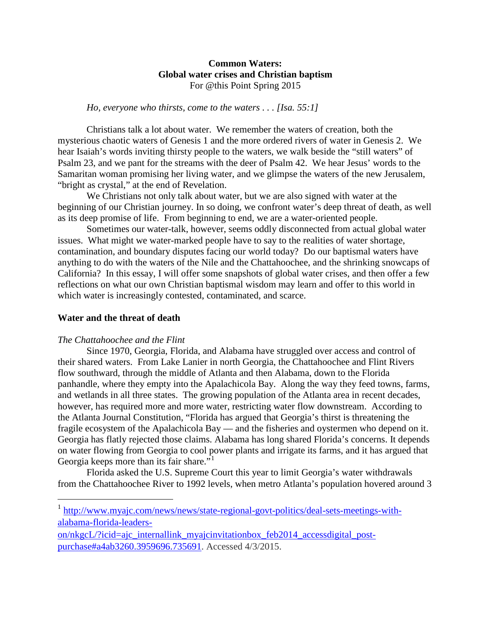## **Common Waters: Global water crises and Christian baptism** For @this Point Spring 2015

### *Ho, everyone who thirsts, come to the waters . . . [Isa. 55:1]*

Christians talk a lot about water. We remember the waters of creation, both the mysterious chaotic waters of Genesis 1 and the more ordered rivers of water in Genesis 2. We hear Isaiah's words inviting thirsty people to the waters, we walk beside the "still waters" of Psalm 23, and we pant for the streams with the deer of Psalm 42. We hear Jesus' words to the Samaritan woman promising her living water, and we glimpse the waters of the new Jerusalem, "bright as crystal," at the end of Revelation.

We Christians not only talk about water, but we are also signed with water at the beginning of our Christian journey. In so doing, we confront water's deep threat of death, as well as its deep promise of life. From beginning to end, we are a water-oriented people.

Sometimes our water-talk, however, seems oddly disconnected from actual global water issues. What might we water-marked people have to say to the realities of water shortage, contamination, and boundary disputes facing our world today? Do our baptismal waters have anything to do with the waters of the Nile and the Chattahoochee, and the shrinking snowcaps of California? In this essay, I will offer some snapshots of global water crises, and then offer a few reflections on what our own Christian baptismal wisdom may learn and offer to this world in which water is increasingly contested, contaminated, and scarce.

### **Water and the threat of death**

#### *The Chattahoochee and the Flint*

 $\overline{\phantom{a}}$ 

Since 1970, Georgia, Florida, and Alabama have struggled over access and control of their shared waters. From Lake Lanier in north Georgia, the Chattahoochee and Flint Rivers flow southward, through the middle of Atlanta and then Alabama, down to the Florida panhandle, where they empty into the Apalachicola Bay. Along the way they feed towns, farms, and wetlands in all three states. The growing population of the Atlanta area in recent decades, however, has required more and more water, restricting water flow downstream. According to the Atlanta Journal Constitution, "Florida has argued that Georgia's thirst is threatening the fragile ecosystem of the Apalachicola Bay — and the fisheries and oystermen who depend on it. Georgia has flatly rejected those claims. Alabama has long shared Florida's concerns. It depends on water flowing from Georgia to cool power plants and irrigate its farms, and it has argued that Georgia keeps more than its fair share."<sup>[1](#page-0-0)</sup>

Florida asked the U.S. Supreme Court this year to limit Georgia's water withdrawals from the Chattahoochee River to 1992 levels, when metro Atlanta's population hovered around 3

<span id="page-0-0"></span><sup>&</sup>lt;sup>1</sup> [http://www.myajc.com/news/news/state-regional-govt-politics/deal-sets-meetings-with](http://www.myajc.com/news/news/state-regional-govt-politics/deal-sets-meetings-with-alabama-florida-leaders-on/nkgcL/?icid=ajc_internallink_myajcinvitationbox_feb2014_accessdigital_post-purchase#a4ab3260.3959696.735691)[alabama-florida-leaders-](http://www.myajc.com/news/news/state-regional-govt-politics/deal-sets-meetings-with-alabama-florida-leaders-on/nkgcL/?icid=ajc_internallink_myajcinvitationbox_feb2014_accessdigital_post-purchase#a4ab3260.3959696.735691)

[on/nkgcL/?icid=ajc\\_internallink\\_myajcinvitationbox\\_feb2014\\_accessdigital\\_post](http://www.myajc.com/news/news/state-regional-govt-politics/deal-sets-meetings-with-alabama-florida-leaders-on/nkgcL/?icid=ajc_internallink_myajcinvitationbox_feb2014_accessdigital_post-purchase#a4ab3260.3959696.735691)[purchase#a4ab3260.3959696.735691.](http://www.myajc.com/news/news/state-regional-govt-politics/deal-sets-meetings-with-alabama-florida-leaders-on/nkgcL/?icid=ajc_internallink_myajcinvitationbox_feb2014_accessdigital_post-purchase#a4ab3260.3959696.735691) Accessed 4/3/2015.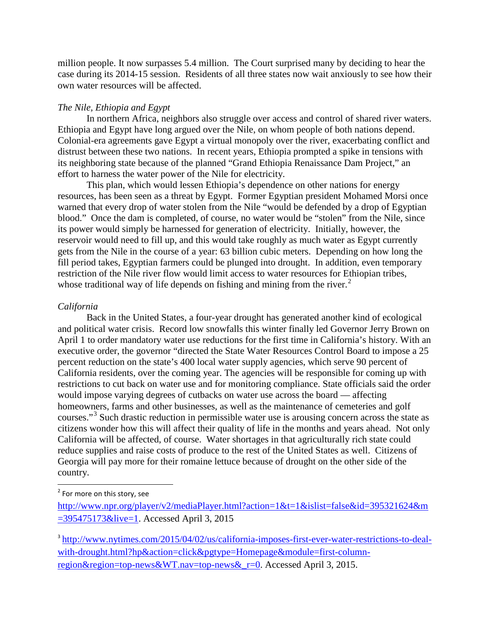million people. It now surpasses 5.4 million. The Court surprised many by deciding to hear the case during its 2014-15 session. Residents of all three states now wait anxiously to see how their own water resources will be affected.

### *The Nile, Ethiopia and Egypt*

In northern Africa, neighbors also struggle over access and control of shared river waters. Ethiopia and Egypt have long argued over the Nile, on whom people of both nations depend. Colonial-era agreements gave Egypt a virtual monopoly over the river, exacerbating conflict and distrust between these two nations. In recent years, Ethiopia prompted a spike in tensions with its neighboring state because of the planned "Grand Ethiopia Renaissance Dam Project," an effort to harness the water power of the Nile for electricity.

This plan, which would lessen Ethiopia's dependence on other nations for energy resources, has been seen as a threat by Egypt. Former Egyptian president Mohamed Morsi once warned that every drop of water stolen from the Nile "would be defended by a drop of Egyptian blood." Once the dam is completed, of course, no water would be "stolen" from the Nile, since its power would simply be harnessed for generation of electricity. Initially, however, the reservoir would need to fill up, and this would take roughly as much water as Egypt currently gets from the Nile in the course of a year: 63 billion cubic meters. Depending on how long the fill period takes, Egyptian farmers could be plunged into drought. In addition, even temporary restriction of the Nile river flow would limit access to water resources for Ethiopian tribes, whose traditional way of life depends on fishing and mining from the river.<sup>[2](#page-1-0)</sup>

### *California*

Back in the United States, a four-year drought has generated another kind of ecological and political water crisis. Record low snowfalls this winter finally led Governor Jerry Brown on April 1 to order mandatory water use reductions for the first time in California's history. With an executive order, the governor "directed the State Water Resources Control Board to impose a 25 percent reduction on the state's 400 local water supply agencies, which serve 90 percent of California residents, over the coming year. The agencies will be responsible for coming up with restrictions to cut back on water use and for monitoring compliance. State officials said the order would impose varying degrees of cutbacks on water use across the board — affecting homeowners, farms and other businesses, as well as the maintenance of cemeteries and golf courses."[3](#page-1-1) Such drastic reduction in permissible water use is arousing concern across the state as citizens wonder how this will affect their quality of life in the months and years ahead. Not only California will be affected, of course. Water shortages in that agriculturally rich state could reduce supplies and raise costs of produce to the rest of the United States as well. Citizens of Georgia will pay more for their romaine lettuce because of drought on the other side of the country.

<span id="page-1-0"></span> $2$  For more on this story, see

[http://www.npr.org/player/v2/mediaPlayer.html?action=1&t=1&islist=false&id=395321624&m](http://www.npr.org/player/v2/mediaPlayer.html?action=1&t=1&islist=false&id=395321624&m=395475173&live=1) [=395475173&live=1.](http://www.npr.org/player/v2/mediaPlayer.html?action=1&t=1&islist=false&id=395321624&m=395475173&live=1) Accessed April 3, 2015

<span id="page-1-1"></span><sup>3</sup> [http://www.nytimes.com/2015/04/02/us/california-imposes-first-ever-water-restrictions-to-deal](http://www.nytimes.com/2015/04/02/us/california-imposes-first-ever-water-restrictions-to-deal-with-drought.html?hp&action=click&pgtype=Homepage&module=first-column-region®ion=top-news&WT.nav=top-news&_r=0)[with-drought.html?hp&action=click&pgtype=Homepage&module=first-column](http://www.nytimes.com/2015/04/02/us/california-imposes-first-ever-water-restrictions-to-deal-with-drought.html?hp&action=click&pgtype=Homepage&module=first-column-region®ion=top-news&WT.nav=top-news&_r=0)region&region=top-news&WT.nav=top-news& $r=0$ . Accessed April 3, 2015.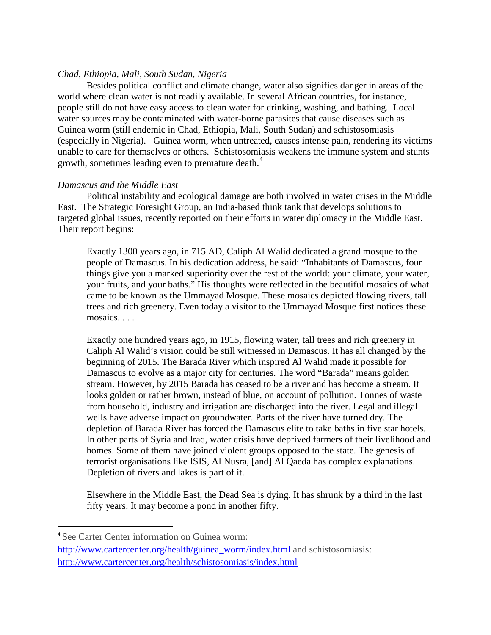# *Chad, Ethiopia, Mali, South Sudan, Nigeria*

Besides political conflict and climate change, water also signifies danger in areas of the world where clean water is not readily available. In several African countries, for instance, people still do not have easy access to clean water for drinking, washing, and bathing. Local water sources may be contaminated with water-borne parasites that cause diseases such as Guinea worm (still endemic in Chad, Ethiopia, Mali, South Sudan) and schistosomiasis (especially in Nigeria). Guinea worm, when untreated, causes intense pain, rendering its victims unable to care for themselves or others. Schistosomiasis weakens the immune system and stunts growth, sometimes leading even to premature death.<sup>[4](#page-2-0)</sup>

# *Damascus and the Middle East*

Political instability and ecological damage are both involved in water crises in the Middle East. The Strategic Foresight Group, an India-based think tank that develops solutions to targeted global issues, recently reported on their efforts in water diplomacy in the Middle East. Their report begins:

Exactly 1300 years ago, in 715 AD, Caliph Al Walid dedicated a grand mosque to the people of Damascus. In his dedication address, he said: "Inhabitants of Damascus, four things give you a marked superiority over the rest of the world: your climate, your water, your fruits, and your baths." His thoughts were reflected in the beautiful mosaics of what came to be known as the Ummayad Mosque. These mosaics depicted flowing rivers, tall trees and rich greenery. Even today a visitor to the Ummayad Mosque first notices these mosaics. . . .

Exactly one hundred years ago, in 1915, flowing water, tall trees and rich greenery in Caliph Al Walid's vision could be still witnessed in Damascus. It has all changed by the beginning of 2015. The Barada River which inspired Al Walid made it possible for Damascus to evolve as a major city for centuries. The word "Barada" means golden stream. However, by 2015 Barada has ceased to be a river and has become a stream. It looks golden or rather brown, instead of blue, on account of pollution. Tonnes of waste from household, industry and irrigation are discharged into the river. Legal and illegal wells have adverse impact on groundwater. Parts of the river have turned dry. The depletion of Barada River has forced the Damascus elite to take baths in five star hotels. In other parts of Syria and Iraq, water crisis have deprived farmers of their livelihood and homes. Some of them have joined violent groups opposed to the state. The genesis of terrorist organisations like ISIS, Al Nusra, [and] Al Qaeda has complex explanations. Depletion of rivers and lakes is part of it.

Elsewhere in the Middle East, the Dead Sea is dying. It has shrunk by a third in the last fifty years. It may become a pond in another fifty.

<span id="page-2-0"></span> <sup>4</sup> See Carter Center information on Guinea worm:

[http://www.cartercenter.org/health/guinea\\_worm/index.html](http://www.cartercenter.org/health/guinea_worm/index.html) and schistosomiasis: <http://www.cartercenter.org/health/schistosomiasis/index.html>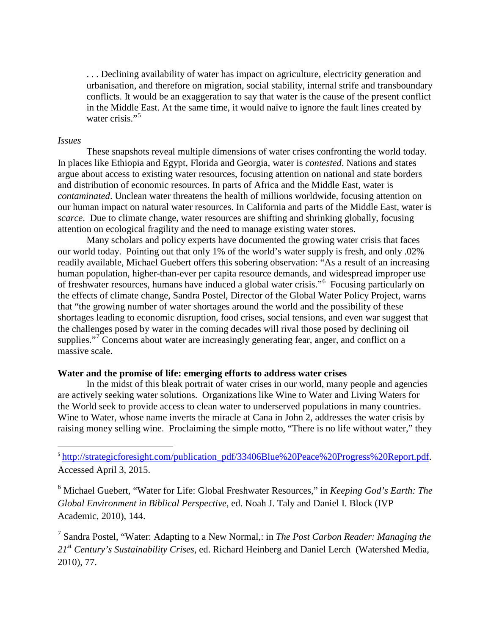. . . Declining availability of water has impact on agriculture, electricity generation and urbanisation, and therefore on migration, social stability, internal strife and transboundary conflicts. It would be an exaggeration to say that water is the cause of the present conflict in the Middle East. At the same time, it would naïve to ignore the fault lines created by water crisis."<sup>[5](#page-3-0)</sup>

### *Issues*

These snapshots reveal multiple dimensions of water crises confronting the world today. In places like Ethiopia and Egypt, Florida and Georgia, water is *contested*. Nations and states argue about access to existing water resources, focusing attention on national and state borders and distribution of economic resources. In parts of Africa and the Middle East, water is *contaminated*. Unclean water threatens the health of millions worldwide, focusing attention on our human impact on natural water resources. In California and parts of the Middle East, water is *scarce*. Due to climate change, water resources are shifting and shrinking globally, focusing attention on ecological fragility and the need to manage existing water stores.

Many scholars and policy experts have documented the growing water crisis that faces our world today. Pointing out that only 1% of the world's water supply is fresh, and only .02% readily available, Michael Guebert offers this sobering observation: "As a result of an increasing human population, higher-than-ever per capita resource demands, and widespread improper use of freshwater resources, humans have induced a global water crisis."[6](#page-3-1) Focusing particularly on the effects of climate change, Sandra Postel, Director of the Global Water Policy Project, warns that "the growing number of water shortages around the world and the possibility of these shortages leading to economic disruption, food crises, social tensions, and even war suggest that the challenges posed by water in the coming decades will rival those posed by declining oil supplies."<sup>[7](#page-3-2)</sup> Concerns about water are increasingly generating fear, anger, and conflict on a massive scale.

#### **Water and the promise of life: emerging efforts to address water crises**

In the midst of this bleak portrait of water crises in our world, many people and agencies are actively seeking water solutions. Organizations like Wine to Water and Living Waters for the World seek to provide access to clean water to underserved populations in many countries. Wine to Water, whose name inverts the miracle at Cana in John 2, addresses the water crisis by raising money selling wine. Proclaiming the simple motto, "There is no life without water," they

<span id="page-3-0"></span><sup>5</sup> [http://strategicforesight.com/publication\\_pdf/33406Blue%20Peace%20Progress%20Report.pdf.](http://strategicforesight.com/publication_pdf/33406Blue%20Peace%20Progress%20Report.pdf) Accessed April 3, 2015.

<span id="page-3-1"></span><sup>6</sup> Michael Guebert, "Water for Life: Global Freshwater Resources," in *Keeping God's Earth: The Global Environment in Biblical Perspective*, ed. Noah J. Taly and Daniel I. Block (IVP Academic, 2010), 144.

<span id="page-3-2"></span><sup>7</sup> Sandra Postel, "Water: Adapting to a New Normal,: in *The Post Carbon Reader: Managing the 21st Century's Sustainability Crises,* ed. Richard Heinberg and Daniel Lerch (Watershed Media, 2010), 77.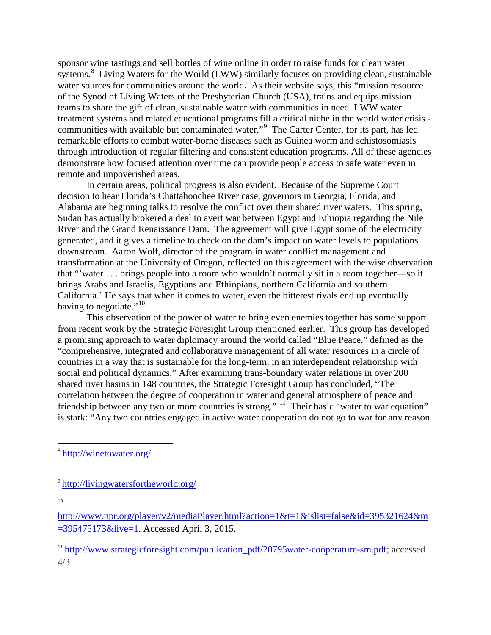sponsor wine tastings and sell bottles of wine online in order to raise funds for clean water systems.<sup>[8](#page-4-0)</sup> Living Waters for the World (LWW) similarly focuses on providing clean, sustainable water sources for communities around the world. As their website says, this "mission resource" of the Synod of Living Waters of the Presbyterian Church (USA), trains and equips mission teams to share the gift of clean, sustainable water with communities in need. LWW water treatment systems and related educational programs fill a critical niche in the world water crisis - communities with available but contaminated water."<sup>[9](#page-4-1)</sup> The Carter Center, for its part, has led remarkable efforts to combat water-borne diseases such as Guinea worm and schistosomiasis through introduction of regular filtering and consistent education programs. All of these agencies demonstrate how focused attention over time can provide people access to safe water even in remote and impoverished areas.

In certain areas, political progress is also evident. Because of the Supreme Court decision to hear Florida's Chattahoochee River case, governors in Georgia, Florida, and Alabama are beginning talks to resolve the conflict over their shared river waters. This spring, Sudan has actually brokered a deal to avert war between Egypt and Ethiopia regarding the Nile River and the Grand Renaissance Dam. The agreement will give Egypt some of the electricity generated, and it gives a timeline to check on the dam's impact on water levels to populations downstream. Aaron Wolf, director of the program in water conflict management and transformation at the University of Oregon, reflected on this agreement with the wise observation that "'water . . . brings people into a room who wouldn't normally sit in a room together—so it brings Arabs and Israelis, Egyptians and Ethiopians, northern California and southern California.' He says that when it comes to water, even the bitterest rivals end up eventually having to negotiate."<sup>[10](#page-4-2)</sup>

This observation of the power of water to bring even enemies together has some support from recent work by the Strategic Foresight Group mentioned earlier. This group has developed a promising approach to water diplomacy around the world called "Blue Peace," defined as the "comprehensive, integrated and collaborative management of all water resources in a circle of countries in a way that is sustainable for the long-term, in an interdependent relationship with social and political dynamics." After examining trans-boundary water relations in over 200 shared river basins in 148 countries, the Strategic Foresight Group has concluded, "The correlation between the degree of cooperation in water and general atmosphere of peace and friendship between any two or more countries is strong." <sup>11</sup> Their basic "water to war equation" is stark: "Any two countries engaged in active water cooperation do not go to war for any reason

10

<span id="page-4-0"></span> <sup>8</sup> <http://winetowater.org/>

<span id="page-4-1"></span><sup>9</sup> <http://livingwatersfortheworld.org/>

<span id="page-4-2"></span>[http://www.npr.org/player/v2/mediaPlayer.html?action=1&t=1&islist=false&id=395321624&m](http://www.npr.org/player/v2/mediaPlayer.html?action=1&t=1&islist=false&id=395321624&m=395475173&live=1) [=395475173&live=1.](http://www.npr.org/player/v2/mediaPlayer.html?action=1&t=1&islist=false&id=395321624&m=395475173&live=1) Accessed April 3, 2015.

<span id="page-4-3"></span><sup>&</sup>lt;sup>11</sup> [http://www.strategicforesight.com/publication\\_pdf/20795water-cooperature-sm.pdf;](http://www.strategicforesight.com/publication_pdf/20795water-cooperature-sm.pdf) accessed 4/3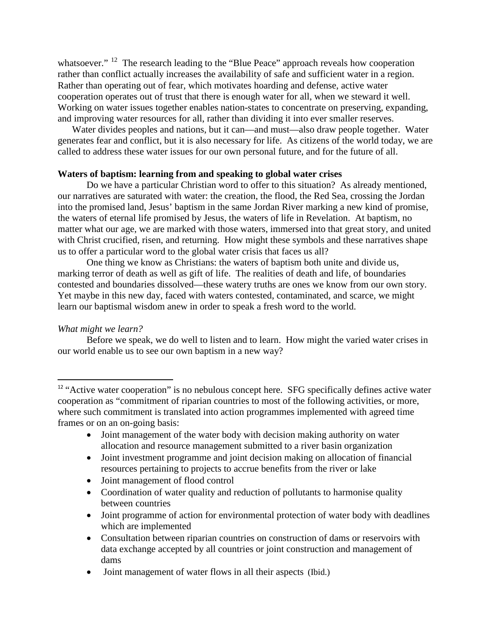whatsoever."<sup>12</sup> The research leading to the "Blue Peace" approach reveals how cooperation rather than conflict actually increases the availability of safe and sufficient water in a region. Rather than operating out of fear, which motivates hoarding and defense, active water cooperation operates out of trust that there is enough water for all, when we steward it well. Working on water issues together enables nation-states to concentrate on preserving, expanding, and improving water resources for all, rather than dividing it into ever smaller reserves.

Water divides peoples and nations, but it can—and must—also draw people together. Water generates fear and conflict, but it is also necessary for life. As citizens of the world today, we are called to address these water issues for our own personal future, and for the future of all.

# **Waters of baptism: learning from and speaking to global water crises**

Do we have a particular Christian word to offer to this situation? As already mentioned, our narratives are saturated with water: the creation, the flood, the Red Sea, crossing the Jordan into the promised land, Jesus' baptism in the same Jordan River marking a new kind of promise, the waters of eternal life promised by Jesus, the waters of life in Revelation. At baptism, no matter what our age, we are marked with those waters, immersed into that great story, and united with Christ crucified, risen, and returning. How might these symbols and these narratives shape us to offer a particular word to the global water crisis that faces us all?

One thing we know as Christians: the waters of baptism both unite and divide us, marking terror of death as well as gift of life. The realities of death and life, of boundaries contested and boundaries dissolved—these watery truths are ones we know from our own story. Yet maybe in this new day, faced with waters contested, contaminated, and scarce, we might learn our baptismal wisdom anew in order to speak a fresh word to the world.

# *What might we learn?*

Before we speak, we do well to listen and to learn. How might the varied water crises in our world enable us to see our own baptism in a new way?

- Joint management of the water body with decision making authority on water allocation and resource management submitted to a river basin organization
- Joint investment programme and joint decision making on allocation of financial resources pertaining to projects to accrue benefits from the river or lake
- Joint management of flood control
- Coordination of water quality and reduction of pollutants to harmonise quality between countries
- Joint programme of action for environmental protection of water body with deadlines which are implemented
- Consultation between riparian countries on construction of dams or reservoirs with data exchange accepted by all countries or joint construction and management of dams
- Joint management of water flows in all their aspects (Ibid.)

<span id="page-5-0"></span><sup>&</sup>lt;sup>12</sup> "Active water cooperation" is no nebulous concept here. SFG specifically defines active water cooperation as "commitment of riparian countries to most of the following activities, or more, where such commitment is translated into action programmes implemented with agreed time frames or on an on-going basis: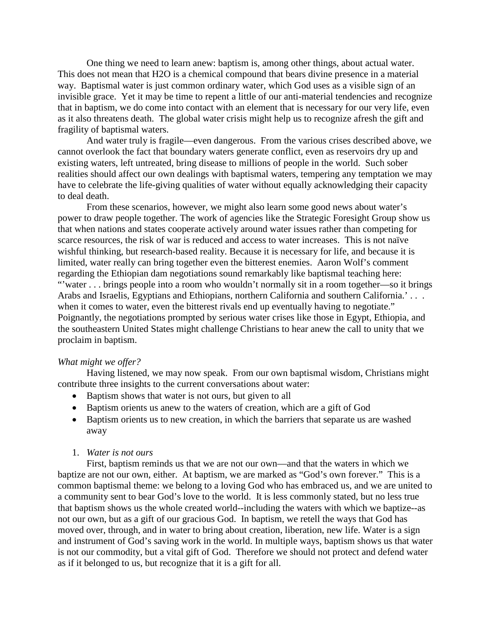One thing we need to learn anew: baptism is, among other things, about actual water. This does not mean that H2O is a chemical compound that bears divine presence in a material way. Baptismal water is just common ordinary water, which God uses as a visible sign of an invisible grace. Yet it may be time to repent a little of our anti-material tendencies and recognize that in baptism, we do come into contact with an element that is necessary for our very life, even as it also threatens death. The global water crisis might help us to recognize afresh the gift and fragility of baptismal waters.

And water truly is fragile—even dangerous. From the various crises described above, we cannot overlook the fact that boundary waters generate conflict, even as reservoirs dry up and existing waters, left untreated, bring disease to millions of people in the world. Such sober realities should affect our own dealings with baptismal waters, tempering any temptation we may have to celebrate the life-giving qualities of water without equally acknowledging their capacity to deal death.

From these scenarios, however, we might also learn some good news about water's power to draw people together. The work of agencies like the Strategic Foresight Group show us that when nations and states cooperate actively around water issues rather than competing for scarce resources, the risk of war is reduced and access to water increases. This is not naïve wishful thinking, but research-based reality. Because it is necessary for life, and because it is limited, water really can bring together even the bitterest enemies. Aaron Wolf's comment regarding the Ethiopian dam negotiations sound remarkably like baptismal teaching here: "'water . . . brings people into a room who wouldn't normally sit in a room together—so it brings Arabs and Israelis, Egyptians and Ethiopians, northern California and southern California.'... when it comes to water, even the bitterest rivals end up eventually having to negotiate." Poignantly, the negotiations prompted by serious water crises like those in Egypt, Ethiopia, and the southeastern United States might challenge Christians to hear anew the call to unity that we proclaim in baptism.

#### *What might we offer?*

Having listened, we may now speak. From our own baptismal wisdom, Christians might contribute three insights to the current conversations about water:

- Baptism shows that water is not ours, but given to all
- Baptism orients us anew to the waters of creation, which are a gift of God
- Baptism orients us to new creation, in which the barriers that separate us are washed away

#### 1. *Water is not ours*

First, baptism reminds us that we are not our own—and that the waters in which we baptize are not our own, either. At baptism, we are marked as "God's own forever." This is a common baptismal theme: we belong to a loving God who has embraced us, and we are united to a community sent to bear God's love to the world. It is less commonly stated, but no less true that baptism shows us the whole created world--including the waters with which we baptize--as not our own, but as a gift of our gracious God. In baptism, we retell the ways that God has moved over, through, and in water to bring about creation, liberation, new life. Water is a sign and instrument of God's saving work in the world. In multiple ways, baptism shows us that water is not our commodity, but a vital gift of God. Therefore we should not protect and defend water as if it belonged to us, but recognize that it is a gift for all.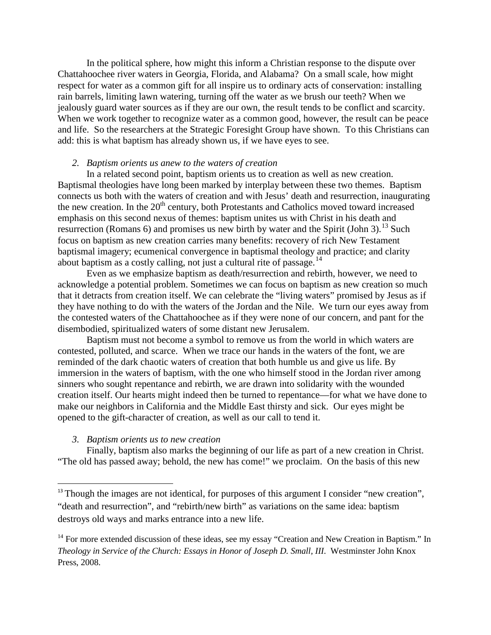In the political sphere, how might this inform a Christian response to the dispute over Chattahoochee river waters in Georgia, Florida, and Alabama? On a small scale, how might respect for water as a common gift for all inspire us to ordinary acts of conservation: installing rain barrels, limiting lawn watering, turning off the water as we brush our teeth? When we jealously guard water sources as if they are our own, the result tends to be conflict and scarcity. When we work together to recognize water as a common good, however, the result can be peace and life. So the researchers at the Strategic Foresight Group have shown. To this Christians can add: this is what baptism has already shown us, if we have eyes to see.

### *2. Baptism orients us anew to the waters of creation*

In a related second point, baptism orients us to creation as well as new creation. Baptismal theologies have long been marked by interplay between these two themes. Baptism connects us both with the waters of creation and with Jesus' death and resurrection, inaugurating the new creation. In the  $20<sup>th</sup>$  century, both Protestants and Catholics moved toward increased emphasis on this second nexus of themes: baptism unites us with Christ in his death and resurrection (Romans 6) and promises us new birth by water and the Spirit (John 3).<sup>[13](#page-7-0)</sup> Such focus on baptism as new creation carries many benefits: recovery of rich New Testament baptismal imagery; ecumenical convergence in baptismal theology and practice; and clarity about baptism as a costly calling, not just a cultural rite of passage.<sup>[14](#page-7-1)</sup>

Even as we emphasize baptism as death/resurrection and rebirth, however, we need to acknowledge a potential problem. Sometimes we can focus on baptism as new creation so much that it detracts from creation itself. We can celebrate the "living waters" promised by Jesus as if they have nothing to do with the waters of the Jordan and the Nile. We turn our eyes away from the contested waters of the Chattahoochee as if they were none of our concern, and pant for the disembodied, spiritualized waters of some distant new Jerusalem.

Baptism must not become a symbol to remove us from the world in which waters are contested, polluted, and scarce. When we trace our hands in the waters of the font, we are reminded of the dark chaotic waters of creation that both humble us and give us life. By immersion in the waters of baptism, with the one who himself stood in the Jordan river among sinners who sought repentance and rebirth, we are drawn into solidarity with the wounded creation itself. Our hearts might indeed then be turned to repentance—for what we have done to make our neighbors in California and the Middle East thirsty and sick. Our eyes might be opened to the gift-character of creation, as well as our call to tend it.

#### *3. Baptism orients us to new creation*

Finally, baptism also marks the beginning of our life as part of a new creation in Christ. "The old has passed away; behold, the new has come!" we proclaim. On the basis of this new

<span id="page-7-0"></span><sup>&</sup>lt;sup>13</sup> Though the images are not identical, for purposes of this argument I consider "new creation", "death and resurrection", and "rebirth/new birth" as variations on the same idea: baptism destroys old ways and marks entrance into a new life.

<span id="page-7-1"></span> $14$  For more extended discussion of these ideas, see my essay "Creation and New Creation in Baptism." In *Theology in Service of the Church: Essays in Honor of Joseph D. Small, III.* Westminster John Knox Press, 2008.